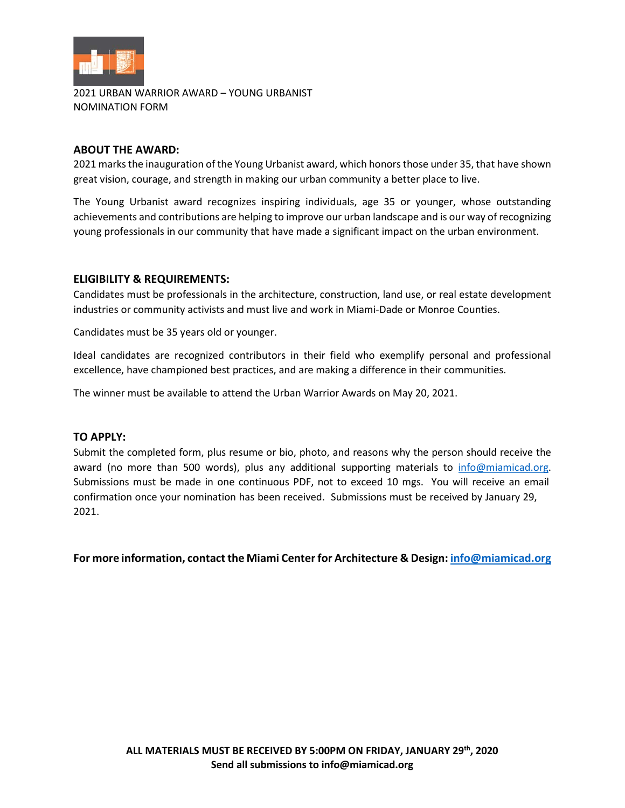

2021 URBAN WARRIOR AWARD – YOUNG URBANIST NOMINATION FORM

# **ABOUT THE AWARD:**

2021 marks the inauguration of the Young Urbanist award, which honors those under 35, that have shown great vision, courage, and strength in making our urban community a better place to live.

The Young Urbanist award recognizes inspiring individuals, age 35 or younger, whose outstanding achievements and contributions are helping to improve our urban landscape and is our way of recognizing young professionals in our community that have made a significant impact on the urban environment.

# **ELIGIBILITY & REQUIREMENTS:**

Candidates must be professionals in the architecture, construction, land use, or real estate development industries or community activists and must live and work in Miami-Dade or Monroe Counties.

Candidates must be 35 years old or younger.

Ideal candidates are recognized contributors in their field who exemplify personal and professional excellence, have championed best practices, and are making a difference in their communities.

The winner must be available to attend the Urban Warrior Awards on May 20, 2021.

# **TO APPLY:**

Submit the completed form, plus resume or bio, photo, and reasons why the person should receive the award (no more than 500 words), plus any additional supporting materials to [info@miamicad.org.](mailto:info@miamicad.org) Submissions must be made in one continuous PDF, not to exceed 10 mgs. You will receive an email confirmation once your nomination has been received. Submissions must be received by January 29, 2021.

**For more information, contact the Miami Center for Architecture & Design[: info@miamicad.org](mailto:info@miamicad.org)**